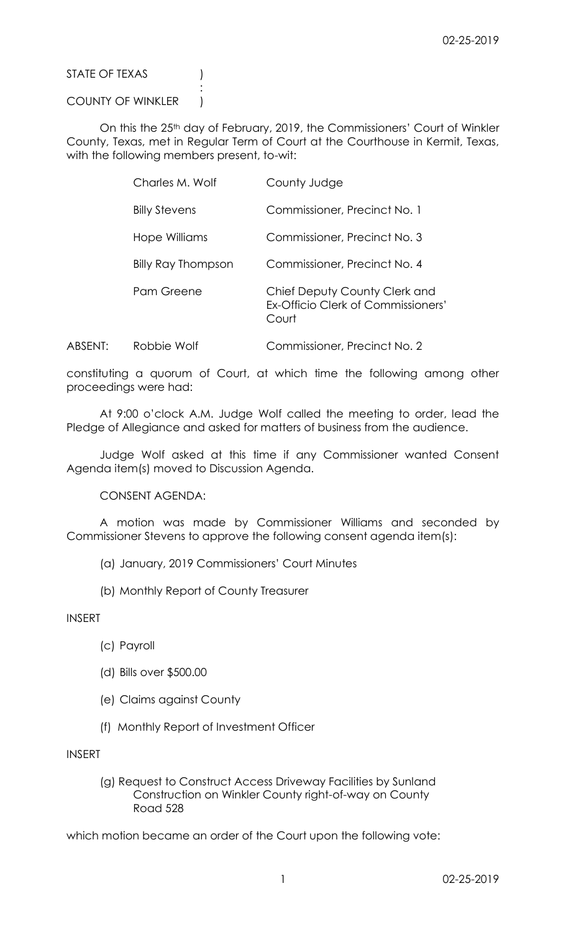STATE OF TEXAS (1)

COUNTY OF WINKLER )

:

On this the 25<sup>th</sup> day of February, 2019, the Commissioners' Court of Winkler County, Texas, met in Regular Term of Court at the Courthouse in Kermit, Texas, with the following members present, to-wit:

| Charles M. Wolf           | County Judge                                                                 |
|---------------------------|------------------------------------------------------------------------------|
| <b>Billy Stevens</b>      | Commissioner, Precinct No. 1                                                 |
| Hope Williams             | Commissioner, Precinct No. 3                                                 |
| <b>Billy Ray Thompson</b> | Commissioner, Precinct No. 4                                                 |
| Pam Greene                | Chief Deputy County Clerk and<br>Ex-Officio Clerk of Commissioners'<br>Court |

ABSENT: Robbie Wolf Commissioner, Precinct No. 2

constituting a quorum of Court, at which time the following among other proceedings were had:

At 9:00 o'clock A.M. Judge Wolf called the meeting to order, lead the Pledge of Allegiance and asked for matters of business from the audience.

Judge Wolf asked at this time if any Commissioner wanted Consent Agenda item(s) moved to Discussion Agenda.

CONSENT AGENDA:

A motion was made by Commissioner Williams and seconded by Commissioner Stevens to approve the following consent agenda item(s):

- (a) January, 2019 Commissioners' Court Minutes
- (b) Monthly Report of County Treasurer

INSERT

- (c) Payroll
- (d) Bills over \$500.00
- (e) Claims against County
- (f) Monthly Report of Investment Officer

INSERT

(g) Request to Construct Access Driveway Facilities by Sunland Construction on Winkler County right-of-way on County Road 528

which motion became an order of the Court upon the following vote: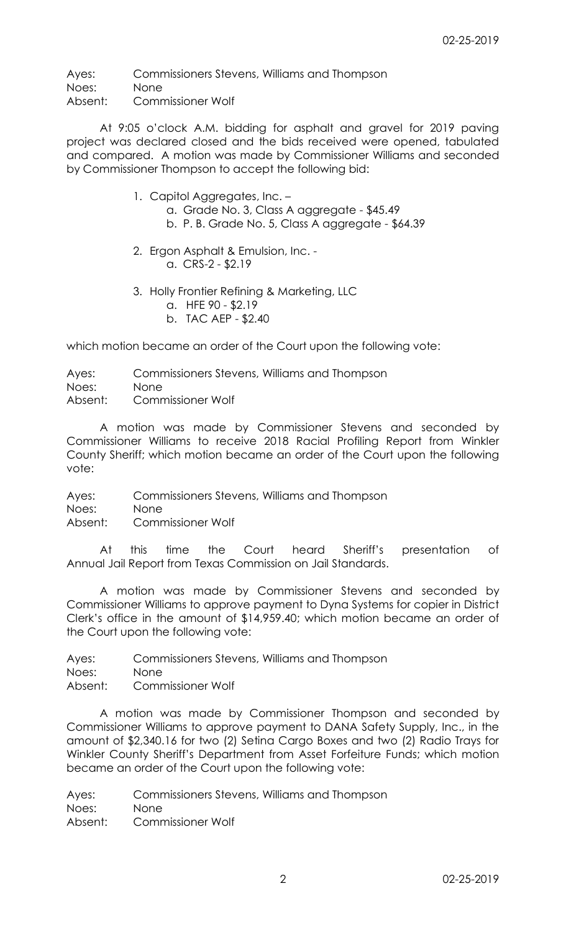Ayes: Commissioners Stevens, Williams and Thompson Noes: None Absent: Commissioner Wolf

At 9:05 o'clock A.M. bidding for asphalt and gravel for 2019 paving project was declared closed and the bids received were opened, tabulated and compared. A motion was made by Commissioner Williams and seconded by Commissioner Thompson to accept the following bid:

- 1. Capitol Aggregates, Inc.
	- a. Grade No. 3, Class A aggregate \$45.49
	- b. P. B. Grade No. 5, Class A aggregate \$64.39
- 2. Ergon Asphalt & Emulsion, Inc. a. CRS-2 - \$2.19
- 3. Holly Frontier Refining & Marketing, LLC
	- a. HFE 90 \$2.19
	- b. TAC AEP \$2.40

which motion became an order of the Court upon the following vote:

Ayes: Commissioners Stevens, Williams and Thompson Noes: None

Absent: Commissioner Wolf

A motion was made by Commissioner Stevens and seconded by Commissioner Williams to receive 2018 Racial Profiling Report from Winkler County Sheriff; which motion became an order of the Court upon the following vote:

Ayes: Commissioners Stevens, Williams and Thompson

Noes: None

Absent: Commissioner Wolf

At this time the Court heard Sheriff's presentation of Annual Jail Report from Texas Commission on Jail Standards.

A motion was made by Commissioner Stevens and seconded by Commissioner Williams to approve payment to Dyna Systems for copier in District Clerk's office in the amount of \$14,959.40; which motion became an order of the Court upon the following vote:

Ayes: Commissioners Stevens, Williams and Thompson

Noes: None

Absent: Commissioner Wolf

A motion was made by Commissioner Thompson and seconded by Commissioner Williams to approve payment to DANA Safety Supply, Inc., in the amount of \$2,340.16 for two (2) Setina Cargo Boxes and two (2) Radio Trays for Winkler County Sheriff's Department from Asset Forfeiture Funds; which motion became an order of the Court upon the following vote:

Ayes: Commissioners Stevens, Williams and Thompson Noes: None Absent: Commissioner Wolf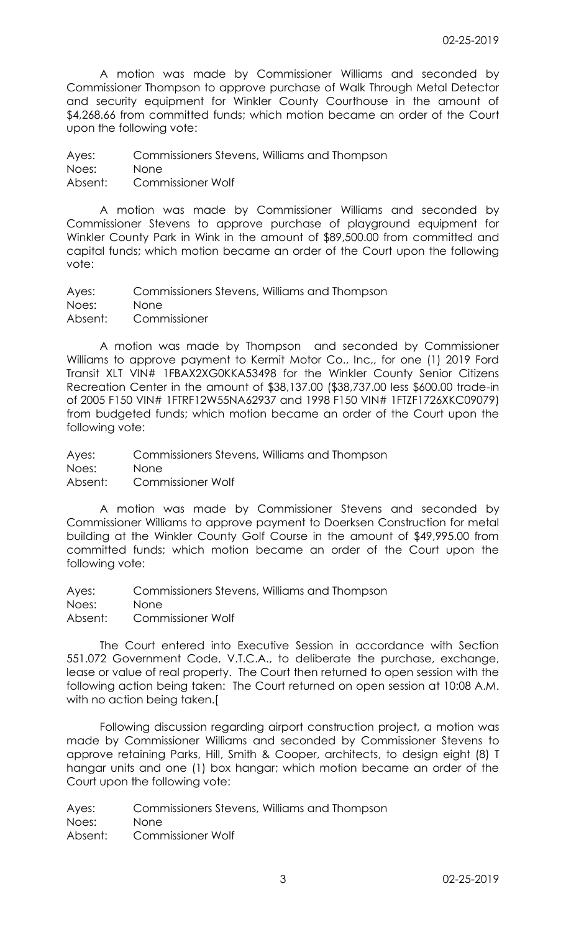A motion was made by Commissioner Williams and seconded by Commissioner Thompson to approve purchase of Walk Through Metal Detector and security equipment for Winkler County Courthouse in the amount of \$4,268.66 from committed funds; which motion became an order of the Court upon the following vote:

Ayes: Commissioners Stevens, Williams and Thompson Noes: None Absent: Commissioner Wolf

A motion was made by Commissioner Williams and seconded by Commissioner Stevens to approve purchase of playground equipment for Winkler County Park in Wink in the amount of \$89,500.00 from committed and capital funds; which motion became an order of the Court upon the following vote:

Ayes: Commissioners Stevens, Williams and Thompson Noes: None Absent: Commissioner

A motion was made by Thompson and seconded by Commissioner Williams to approve payment to Kermit Motor Co., Inc,, for one (1) 2019 Ford Transit XLT VIN# 1FBAX2XG0KKA53498 for the Winkler County Senior Citizens Recreation Center in the amount of \$38,137.00 (\$38,737.00 less \$600.00 trade-in of 2005 F150 VIN# 1FTRF12W55NA62937 and 1998 F150 VIN# 1FTZF1726XKC09079) from budgeted funds; which motion became an order of the Court upon the following vote:

Ayes: Commissioners Stevens, Williams and Thompson Noes: None Absent: Commissioner Wolf

A motion was made by Commissioner Stevens and seconded by Commissioner Williams to approve payment to Doerksen Construction for metal building at the Winkler County Golf Course in the amount of \$49,995.00 from committed funds; which motion became an order of the Court upon the following vote:

Ayes: Commissioners Stevens, Williams and Thompson Noes: None Absent: Commissioner Wolf

The Court entered into Executive Session in accordance with Section 551.072 Government Code, V.T.C.A., to deliberate the purchase, exchange, lease or value of real property. The Court then returned to open session with the following action being taken: The Court returned on open session at 10:08 A.M. with no action being taken.[

Following discussion regarding airport construction project, a motion was made by Commissioner Williams and seconded by Commissioner Stevens to approve retaining Parks, Hill, Smith & Cooper, architects, to design eight (8) T hangar units and one (1) box hangar; which motion became an order of the Court upon the following vote:

Ayes: Commissioners Stevens, Williams and Thompson Noes: None Absent: Commissioner Wolf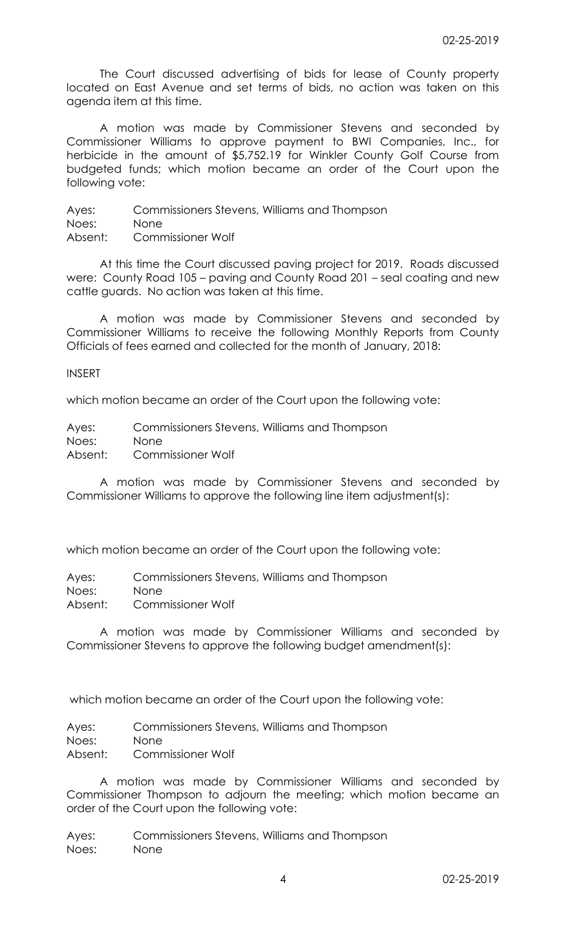The Court discussed advertising of bids for lease of County property located on East Avenue and set terms of bids, no action was taken on this agenda item at this time.

A motion was made by Commissioner Stevens and seconded by Commissioner Williams to approve payment to BWI Companies, Inc., for herbicide in the amount of \$5,752.19 for Winkler County Golf Course from budgeted funds; which motion became an order of the Court upon the following vote:

Ayes: Commissioners Stevens, Williams and Thompson Noes: None Absent: Commissioner Wolf

At this time the Court discussed paving project for 2019. Roads discussed were: County Road 105 – paving and County Road 201 – seal coating and new cattle guards. No action was taken at this time.

A motion was made by Commissioner Stevens and seconded by Commissioner Williams to receive the following Monthly Reports from County Officials of fees earned and collected for the month of January, 2018:

INSERT

which motion became an order of the Court upon the following vote:

Ayes: Commissioners Stevens, Williams and Thompson Noes: None Absent: Commissioner Wolf

A motion was made by Commissioner Stevens and seconded by Commissioner Williams to approve the following line item adjustment(s):

which motion became an order of the Court upon the following vote:

Ayes: Commissioners Stevens, Williams and Thompson

Noes: None

Absent: Commissioner Wolf

A motion was made by Commissioner Williams and seconded by Commissioner Stevens to approve the following budget amendment(s):

which motion became an order of the Court upon the following vote:

Ayes: Commissioners Stevens, Williams and Thompson Noes: None

Absent: Commissioner Wolf

A motion was made by Commissioner Williams and seconded by Commissioner Thompson to adjourn the meeting; which motion became an order of the Court upon the following vote:

Ayes: Commissioners Stevens, Williams and Thompson Noes: None